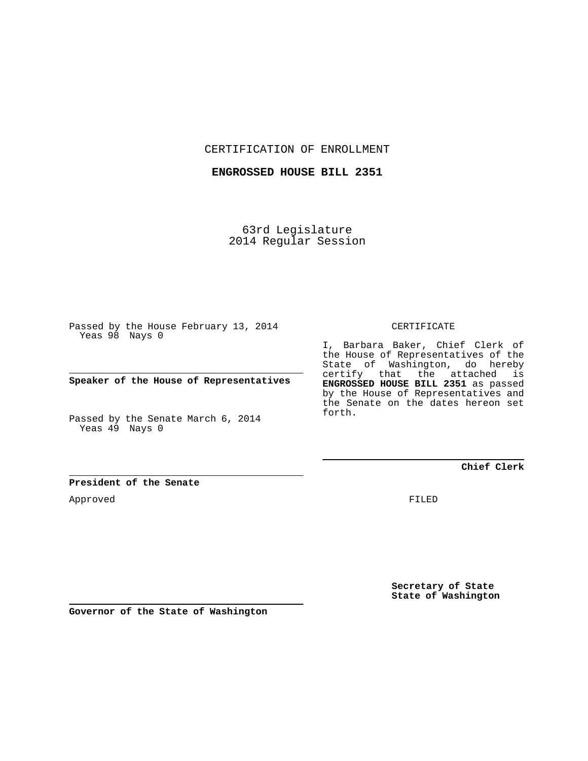CERTIFICATION OF ENROLLMENT

**ENGROSSED HOUSE BILL 2351**

63rd Legislature 2014 Regular Session

Passed by the House February 13, 2014 Yeas 98 Nays 0

**Speaker of the House of Representatives**

Passed by the Senate March 6, 2014 Yeas 49 Nays 0

CERTIFICATE

I, Barbara Baker, Chief Clerk of the House of Representatives of the State of Washington, do hereby certify that the attached is **ENGROSSED HOUSE BILL 2351** as passed by the House of Representatives and the Senate on the dates hereon set forth.

**Chief Clerk**

**President of the Senate**

Approved

FILED

**Secretary of State State of Washington**

**Governor of the State of Washington**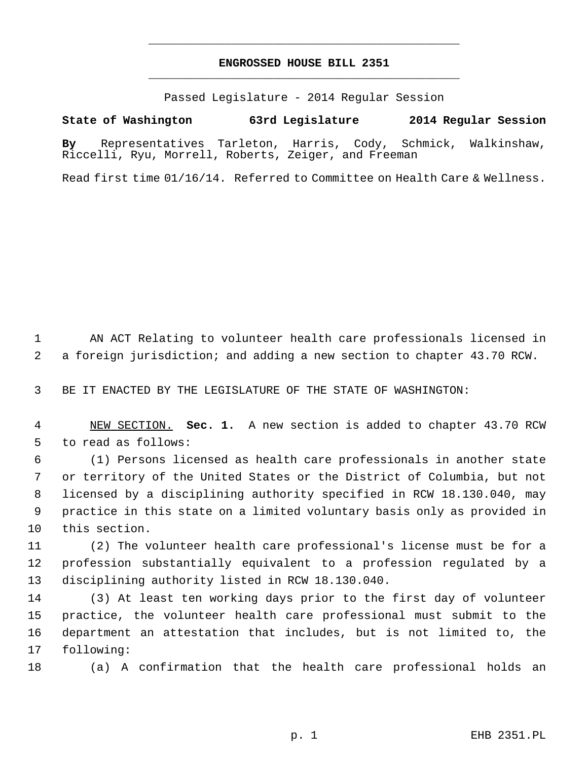## **ENGROSSED HOUSE BILL 2351** \_\_\_\_\_\_\_\_\_\_\_\_\_\_\_\_\_\_\_\_\_\_\_\_\_\_\_\_\_\_\_\_\_\_\_\_\_\_\_\_\_\_\_\_\_

\_\_\_\_\_\_\_\_\_\_\_\_\_\_\_\_\_\_\_\_\_\_\_\_\_\_\_\_\_\_\_\_\_\_\_\_\_\_\_\_\_\_\_\_\_

Passed Legislature - 2014 Regular Session

## **State of Washington 63rd Legislature 2014 Regular Session**

**By** Representatives Tarleton, Harris, Cody, Schmick, Walkinshaw, Riccelli, Ryu, Morrell, Roberts, Zeiger, and Freeman

Read first time 01/16/14. Referred to Committee on Health Care & Wellness.

 1 AN ACT Relating to volunteer health care professionals licensed in 2 a foreign jurisdiction; and adding a new section to chapter 43.70 RCW.

3 BE IT ENACTED BY THE LEGISLATURE OF THE STATE OF WASHINGTON:

 4 NEW SECTION. **Sec. 1.** A new section is added to chapter 43.70 RCW 5 to read as follows:

 6 (1) Persons licensed as health care professionals in another state 7 or territory of the United States or the District of Columbia, but not 8 licensed by a disciplining authority specified in RCW 18.130.040, may 9 practice in this state on a limited voluntary basis only as provided in 10 this section.

11 (2) The volunteer health care professional's license must be for a 12 profession substantially equivalent to a profession regulated by a 13 disciplining authority listed in RCW 18.130.040.

14 (3) At least ten working days prior to the first day of volunteer 15 practice, the volunteer health care professional must submit to the 16 department an attestation that includes, but is not limited to, the 17 following:

18 (a) A confirmation that the health care professional holds an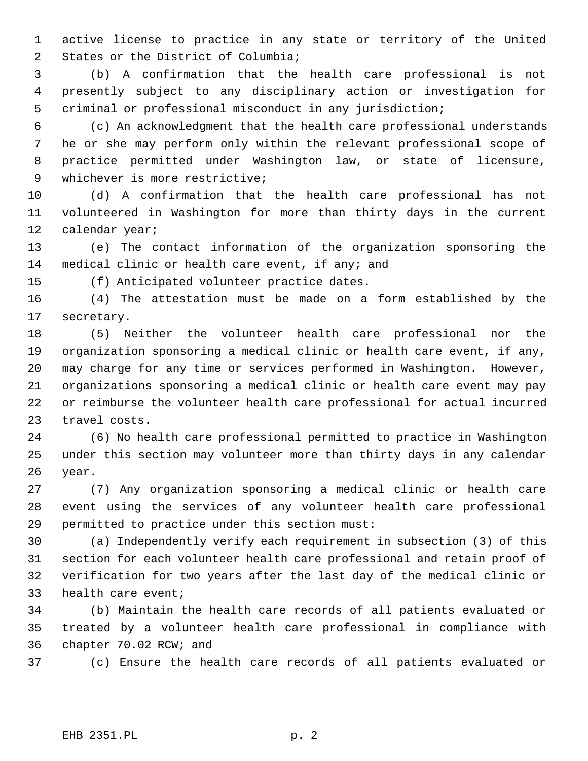1 active license to practice in any state or territory of the United 2 States or the District of Columbia;

 3 (b) A confirmation that the health care professional is not 4 presently subject to any disciplinary action or investigation for 5 criminal or professional misconduct in any jurisdiction;

 6 (c) An acknowledgment that the health care professional understands 7 he or she may perform only within the relevant professional scope of 8 practice permitted under Washington law, or state of licensure, 9 whichever is more restrictive;

10 (d) A confirmation that the health care professional has not 11 volunteered in Washington for more than thirty days in the current 12 calendar year;

13 (e) The contact information of the organization sponsoring the 14 medical clinic or health care event, if any; and

15 (f) Anticipated volunteer practice dates.

16 (4) The attestation must be made on a form established by the 17 secretary.

18 (5) Neither the volunteer health care professional nor the 19 organization sponsoring a medical clinic or health care event, if any, 20 may charge for any time or services performed in Washington. However, 21 organizations sponsoring a medical clinic or health care event may pay 22 or reimburse the volunteer health care professional for actual incurred 23 travel costs.

24 (6) No health care professional permitted to practice in Washington 25 under this section may volunteer more than thirty days in any calendar 26 year.

27 (7) Any organization sponsoring a medical clinic or health care 28 event using the services of any volunteer health care professional 29 permitted to practice under this section must:

30 (a) Independently verify each requirement in subsection (3) of this 31 section for each volunteer health care professional and retain proof of 32 verification for two years after the last day of the medical clinic or 33 health care event;

34 (b) Maintain the health care records of all patients evaluated or 35 treated by a volunteer health care professional in compliance with 36 chapter 70.02 RCW; and

37 (c) Ensure the health care records of all patients evaluated or